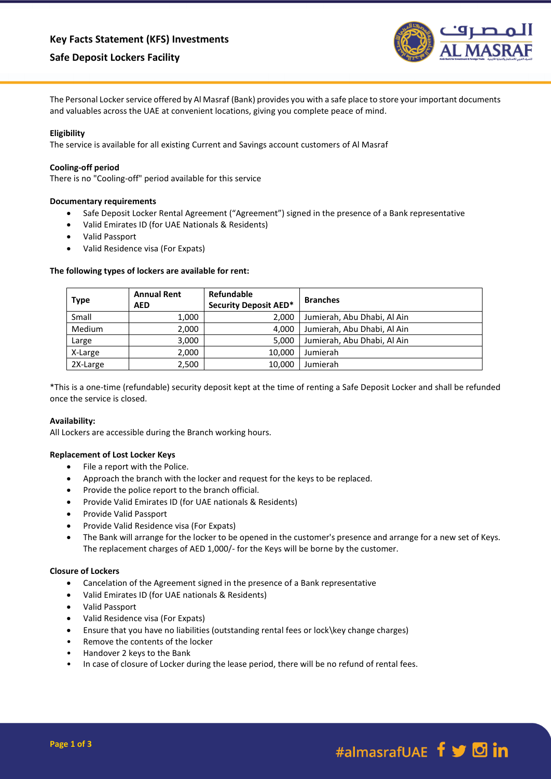# **Safe Deposit Lockers Facility**



The Personal Locker service offered by Al Masraf (Bank) provides you with a safe place to store your important documents and valuables across the UAE at convenient locations, giving you complete peace of mind.

# **Eligibility**

The service is available for all existing Current and Savings account customers of Al Masraf

### **Cooling-off period**

There is no "Cooling-off" period available for this service

### **Documentary requirements**

- Safe Deposit Locker Rental Agreement ("Agreement") signed in the presence of a Bank representative
- Valid Emirates ID (for UAE Nationals & Residents)
- Valid Passport
- Valid Residence visa (For Expats)

### **The following types of lockers are available for rent:**

| Type          | <b>Annual Rent</b><br><b>AED</b> | Refundable<br><b>Security Deposit AED*</b> | <b>Branches</b>             |
|---------------|----------------------------------|--------------------------------------------|-----------------------------|
| Small         | 1,000                            | 2.000                                      | Jumierah, Abu Dhabi, Al Ain |
| <b>Medium</b> | 2,000                            | 4.000                                      | Jumierah, Abu Dhabi, Al Ain |
| Large         | 3,000                            | 5.000                                      | Jumierah, Abu Dhabi, Al Ain |
| X-Large       | 2,000                            | 10,000                                     | Jumierah                    |
| 2X-Large      | 2,500                            | 10.000                                     | Jumierah                    |

\*This is a one-time (refundable) security deposit kept at the time of renting a Safe Deposit Locker and shall be refunded once the service is closed.

# **Availability:**

All Lockers are accessible during the Branch working hours.

# **Replacement of Lost Locker Keys**

- File a report with the Police.
- Approach the branch with the locker and request for the keys to be replaced.
- Provide the police report to the branch official.
- Provide Valid Emirates ID (for UAE nationals & Residents)
- Provide Valid Passport
- Provide Valid Residence visa (For Expats)
- The Bank will arrange for the locker to be opened in the customer's presence and arrange for a new set of Keys. The replacement charges of AED 1,000/- for the Keys will be borne by the customer.

### **Closure of Lockers**

- Cancelation of the Agreement signed in the presence of a Bank representative
- Valid Emirates ID (for UAE nationals & Residents)
- Valid Passport
- Valid Residence visa (For Expats)
- Ensure that you have no liabilities (outstanding rental fees or lock\key change charges)
- Remove the contents of the locker
- Handover 2 keys to the Bank
- In case of closure of Locker during the lease period, there will be no refund of rental fees.

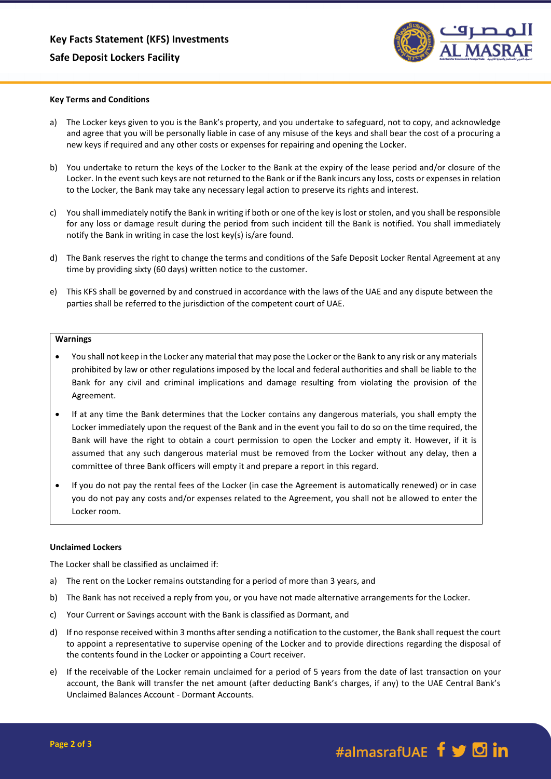

#### **Key Terms and Conditions**

- a) The Locker keys given to you is the Bank's property, and you undertake to safeguard, not to copy, and acknowledge and agree that you will be personally liable in case of any misuse of the keys and shall bear the cost of a procuring a new keys if required and any other costs or expenses for repairing and opening the Locker.
- b) You undertake to return the keys of the Locker to the Bank at the expiry of the lease period and/or closure of the Locker. In the event such keys are not returned to the Bank or if the Bank incurs any loss, costs or expenses in relation to the Locker, the Bank may take any necessary legal action to preserve its rights and interest.
- c) You shall immediately notify the Bank in writing if both or one of the key is lost or stolen, and you shall be responsible for any loss or damage result during the period from such incident till the Bank is notified. You shall immediately notify the Bank in writing in case the lost key(s) is/are found.
- d) The Bank reserves the right to change the terms and conditions of the Safe Deposit Locker Rental Agreement at any time by providing sixty (60 days) written notice to the customer.
- e) This KFS shall be governed by and construed in accordance with the laws of the UAE and any dispute between the parties shall be referred to the jurisdiction of the competent court of UAE.

#### **Warnings**

- You shall not keep in the Locker any material that may pose the Locker or the Bank to any risk or any materials prohibited by law or other regulations imposed by the local and federal authorities and shall be liable to the Bank for any civil and criminal implications and damage resulting from violating the provision of the Agreement.
- If at any time the Bank determines that the Locker contains any dangerous materials, you shall empty the Locker immediately upon the request of the Bank and in the event you fail to do so on the time required, the Bank will have the right to obtain a court permission to open the Locker and empty it. However, if it is assumed that any such dangerous material must be removed from the Locker without any delay, then a committee of three Bank officers will empty it and prepare a report in this regard.
- If you do not pay the rental fees of the Locker (in case the Agreement is automatically renewed) or in case you do not pay any costs and/or expenses related to the Agreement, you shall not be allowed to enter the Locker room.

#### **Unclaimed Lockers**

The Locker shall be classified as unclaimed if:

- a) The rent on the Locker remains outstanding for a period of more than 3 years, and
- b) The Bank has not received a reply from you, or you have not made alternative arrangements for the Locker.
- c) Your Current or Savings account with the Bank is classified as Dormant, and
- d) If no response received within 3 months after sending a notification to the customer, the Bank shall request the court to appoint a representative to supervise opening of the Locker and to provide directions regarding the disposal of the contents found in the Locker or appointing a Court receiver.
- e) If the receivable of the Locker remain unclaimed for a period of 5 years from the date of last transaction on your account, the Bank will transfer the net amount (after deducting Bank's charges, if any) to the UAE Central Bank's Unclaimed Balances Account - Dormant Accounts.